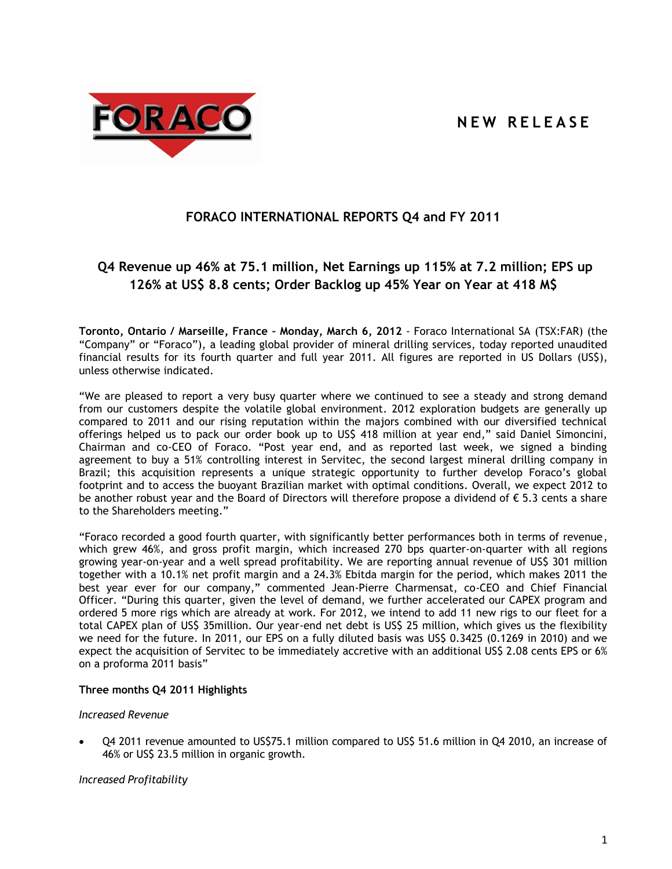**N E W R E L E A S E**



# **FORACO INTERNATIONAL REPORTS Q4 and FY 2011**

# **Q4 Revenue up 46% at 75.1 million, Net Earnings up 115% at 7.2 million; EPS up 126% at US\$ 8.8 cents; Order Backlog up 45% Year on Year at 418 M\$**

**Toronto, Ontario / Marseille, France – Monday, March 6, 2012** - Foraco International SA (TSX:FAR) (the "Company" or "Foraco"), a leading global provider of mineral drilling services, today reported unaudited financial results for its fourth quarter and full year 2011. All figures are reported in US Dollars (US\$), unless otherwise indicated.

"We are pleased to report a very busy quarter where we continued to see a steady and strong demand from our customers despite the volatile global environment. 2012 exploration budgets are generally up compared to 2011 and our rising reputation within the majors combined with our diversified technical offerings helped us to pack our order book up to US\$ 418 million at year end," said Daniel Simoncini, Chairman and co-CEO of Foraco. "Post year end, and as reported last week, we signed a binding agreement to buy a 51% controlling interest in Servitec, the second largest mineral drilling company in Brazil; this acquisition represents a unique strategic opportunity to further develop Foraco's global footprint and to access the buoyant Brazilian market with optimal conditions. Overall, we expect 2012 to be another robust year and the Board of Directors will therefore propose a dividend of € 5.3 cents a share to the Shareholders meeting."

"Foraco recorded a good fourth quarter, with significantly better performances both in terms of revenue, which grew 46%, and gross profit margin, which increased 270 bps quarter-on-quarter with all regions growing year-on-year and a well spread profitability. We are reporting annual revenue of US\$ 301 million together with a 10.1% net profit margin and a 24.3% Ebitda margin for the period, which makes 2011 the best year ever for our company," commented Jean-Pierre Charmensat, co-CEO and Chief Financial Officer. "During this quarter, given the level of demand, we further accelerated our CAPEX program and ordered 5 more rigs which are already at work. For 2012, we intend to add 11 new rigs to our fleet for a total CAPEX plan of US\$ 35million. Our year-end net debt is US\$ 25 million, which gives us the flexibility we need for the future. In 2011, our EPS on a fully diluted basis was US\$ 0.3425 (0.1269 in 2010) and we expect the acquisition of Servitec to be immediately accretive with an additional US\$ 2.08 cents EPS or 6% on a proforma 2011 basis"

# **Three months Q4 2011 Highlights**

#### *Increased Revenue*

 Q4 2011 revenue amounted to US\$75.1 million compared to US\$ 51.6 million in Q4 2010, an increase of 46% or US\$ 23.5 million in organic growth.

#### *Increased Profitability*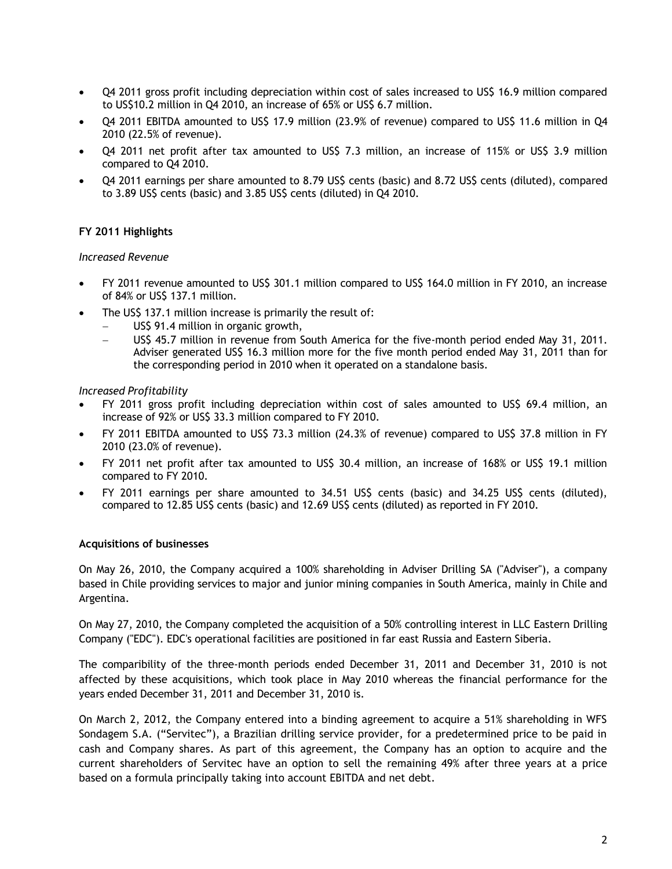- Q4 2011 gross profit including depreciation within cost of sales increased to US\$ 16.9 million compared to US\$10.2 million in Q4 2010, an increase of 65% or US\$ 6.7 million.
- Q4 2011 EBITDA amounted to US\$ 17.9 million (23.9% of revenue) compared to US\$ 11.6 million in Q4 2010 (22.5% of revenue).
- Q4 2011 net profit after tax amounted to US\$ 7.3 million, an increase of 115% or US\$ 3.9 million compared to Q4 2010.
- Q4 2011 earnings per share amounted to 8.79 US\$ cents (basic) and 8.72 US\$ cents (diluted), compared to 3.89 US\$ cents (basic) and 3.85 US\$ cents (diluted) in Q4 2010.

# **FY 2011 Highlights**

#### *Increased Revenue*

- FY 2011 revenue amounted to US\$ 301.1 million compared to US\$ 164.0 million in FY 2010, an increase of 84% or US\$ 137.1 million.
- The US\$ 137.1 million increase is primarily the result of:
	- US\$ 91.4 million in organic growth,
	- US\$ 45.7 million in revenue from South America for the five-month period ended May 31, 2011. Adviser generated US\$ 16.3 million more for the five month period ended May 31, 2011 than for the corresponding period in 2010 when it operated on a standalone basis.

#### *Increased Profitability*

- FY 2011 gross profit including depreciation within cost of sales amounted to US\$ 69.4 million, an increase of 92% or US\$ 33.3 million compared to FY 2010.
- FY 2011 EBITDA amounted to US\$ 73.3 million (24.3% of revenue) compared to US\$ 37.8 million in FY 2010 (23.0% of revenue).
- FY 2011 net profit after tax amounted to US\$ 30.4 million, an increase of 168% or US\$ 19.1 million compared to FY 2010.
- FY 2011 earnings per share amounted to 34.51 US\$ cents (basic) and 34.25 US\$ cents (diluted), compared to 12.85 US\$ cents (basic) and 12.69 US\$ cents (diluted) as reported in FY 2010.

#### **Acquisitions of businesses**

On May 26, 2010, the Company acquired a 100% shareholding in Adviser Drilling SA ("Adviser"), a company based in Chile providing services to major and junior mining companies in South America, mainly in Chile and Argentina.

On May 27, 2010, the Company completed the acquisition of a 50% controlling interest in LLC Eastern Drilling Company ("EDC"). EDC's operational facilities are positioned in far east Russia and Eastern Siberia.

The comparibility of the three-month periods ended December 31, 2011 and December 31, 2010 is not affected by these acquisitions, which took place in May 2010 whereas the financial performance for the years ended December 31, 2011 and December 31, 2010 is.

On March 2, 2012, the Company entered into a binding agreement to acquire a 51% shareholding in WFS Sondagem S.A. ("Servitec"), a Brazilian drilling service provider, for a predetermined price to be paid in cash and Company shares. As part of this agreement, the Company has an option to acquire and the current shareholders of Servitec have an option to sell the remaining 49% after three years at a price based on a formula principally taking into account EBITDA and net debt.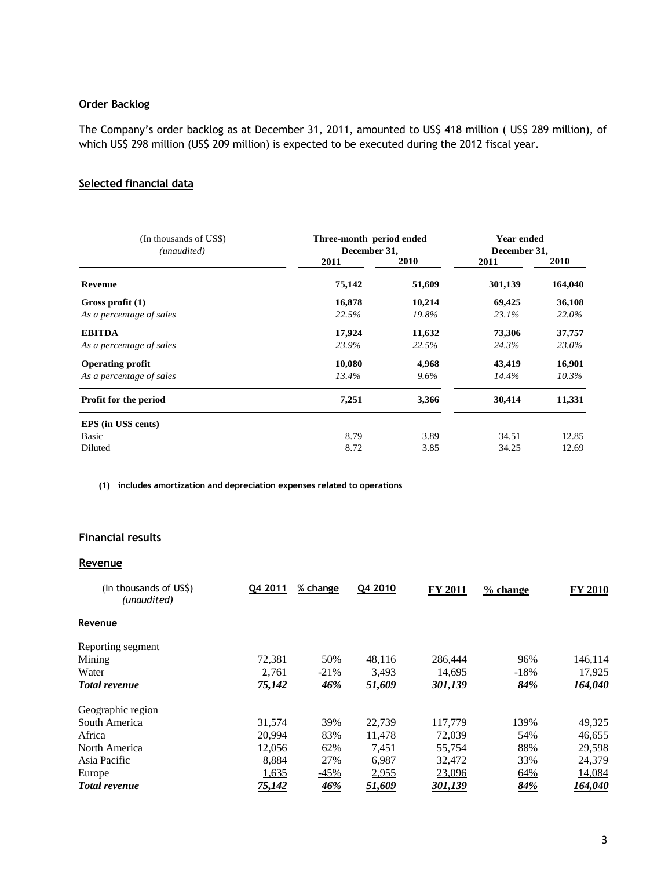# **Order Backlog**

The Company's order backlog as at December 31, 2011, amounted to US\$ 418 million ( US\$ 289 million), of which US\$ 298 million (US\$ 209 million) is expected to be executed during the 2012 fiscal year.

# **Selected financial data**

| (In thousands of US\$)<br>(unaudited) | Three-month period ended<br>December 31, | <b>Year ended</b><br>December 31, |         |         |
|---------------------------------------|------------------------------------------|-----------------------------------|---------|---------|
|                                       | 2011                                     | 2010                              | 2011    | 2010    |
| Revenue                               | 75,142                                   | 51,609                            | 301,139 | 164,040 |
| Gross profit (1)                      | 16,878                                   | 10,214                            | 69,425  | 36,108  |
| As a percentage of sales              | 22.5%                                    | 19.8%                             | 23.1%   | 22.0%   |
| <b>EBITDA</b>                         | 17,924                                   | 11,632                            | 73,306  | 37,757  |
| As a percentage of sales              | 23.9%                                    | 22.5%                             | 24.3%   | 23.0%   |
| <b>Operating profit</b>               | 10,080                                   | 4,968                             | 43,419  | 16,901  |
| As a percentage of sales              | 13.4%                                    | $9.6\%$                           | 14.4%   | 10.3%   |
| Profit for the period                 | 7,251                                    | 3,366                             | 30,414  | 11,331  |
| EPS (in US\$ cents)                   |                                          |                                   |         |         |
| Basic                                 | 8.79                                     | 3.89                              | 34.51   | 12.85   |
| Diluted                               | 8.72                                     | 3.85                              | 34.25   | 12.69   |

**(1) includes amortization and depreciation expenses related to operations**

# **Financial results**

# **Revenue**

| (In thousands of US\$)<br>(unaudited) | Q4 2011       | % change           | Q4 2010       | <b>FY 2011</b> | % change | <b>FY 2010</b> |
|---------------------------------------|---------------|--------------------|---------------|----------------|----------|----------------|
| Revenue                               |               |                    |               |                |          |                |
| Reporting segment                     |               |                    |               |                |          |                |
| Mining                                | 72,381        | 50%                | 48,116        | 286,444        | 96%      | 146,114        |
| Water                                 | 2,761         | $-21%$             | 3,493         | 14,695         | $-18%$   | 17,925         |
| <b>Total revenue</b>                  | 75,142        | $\underline{46\%}$ | 51,609        | 301,139        | 84%      | 164,040        |
| Geographic region                     |               |                    |               |                |          |                |
| South America                         | 31,574        | 39%                | 22.739        | 117.779        | 139%     | 49,325         |
| Africa                                | 20.994        | 83%                | 11.478        | 72,039         | 54%      | 46,655         |
| North America                         | 12.056        | 62%                | 7,451         | 55,754         | 88%      | 29,598         |
| Asia Pacific                          | 8,884         | 27%                | 6,987         | 32,472         | 33%      | 24,379         |
| Europe                                | 1,635         | $-45%$             | 2,955         | 23,096         | 64%      | 14,084         |
| <b>Total revenue</b>                  | <u>75,142</u> | <u>46%</u>         | <u>51,609</u> | 301,139        | 84%      | <u>164.040</u> |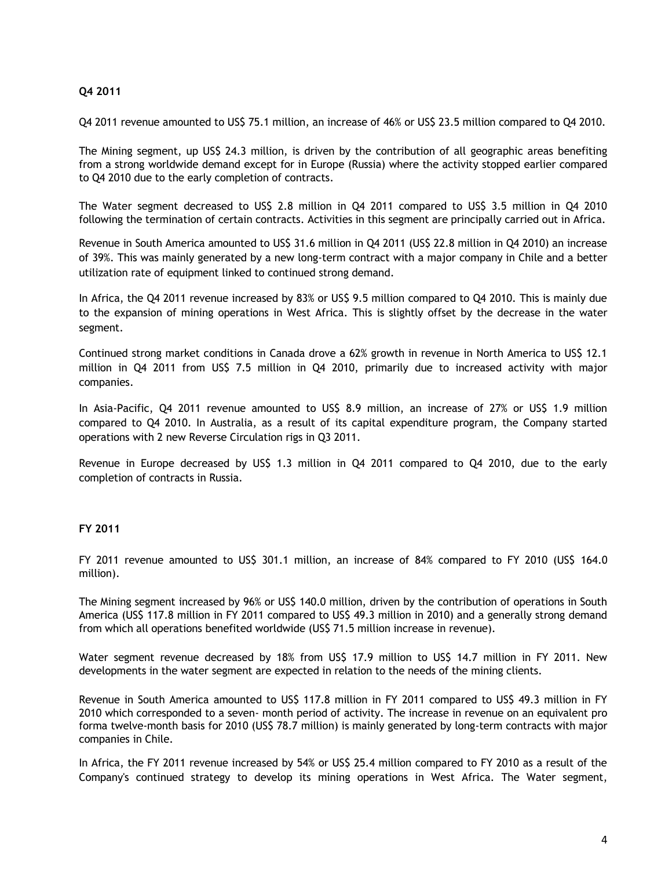# **Q4 2011**

Q4 2011 revenue amounted to US\$ 75.1 million, an increase of 46% or US\$ 23.5 million compared to Q4 2010.

The Mining segment, up US\$ 24.3 million, is driven by the contribution of all geographic areas benefiting from a strong worldwide demand except for in Europe (Russia) where the activity stopped earlier compared to Q4 2010 due to the early completion of contracts.

The Water segment decreased to US\$ 2.8 million in Q4 2011 compared to US\$ 3.5 million in Q4 2010 following the termination of certain contracts. Activities in this segment are principally carried out in Africa.

Revenue in South America amounted to US\$ 31.6 million in Q4 2011 (US\$ 22.8 million in Q4 2010) an increase of 39%. This was mainly generated by a new long-term contract with a major company in Chile and a better utilization rate of equipment linked to continued strong demand.

In Africa, the Q4 2011 revenue increased by 83% or US\$ 9.5 million compared to Q4 2010. This is mainly due to the expansion of mining operations in West Africa. This is slightly offset by the decrease in the water segment.

Continued strong market conditions in Canada drove a 62% growth in revenue in North America to US\$ 12.1 million in Q4 2011 from US\$ 7.5 million in Q4 2010, primarily due to increased activity with major companies.

In Asia-Pacific, Q4 2011 revenue amounted to US\$ 8.9 million, an increase of 27% or US\$ 1.9 million compared to Q4 2010. In Australia, as a result of its capital expenditure program, the Company started operations with 2 new Reverse Circulation rigs in Q3 2011.

Revenue in Europe decreased by US\$ 1.3 million in Q4 2011 compared to Q4 2010, due to the early completion of contracts in Russia.

# **FY 2011**

FY 2011 revenue amounted to US\$ 301.1 million, an increase of 84% compared to FY 2010 (US\$ 164.0 million).

The Mining segment increased by 96% or US\$ 140.0 million, driven by the contribution of operations in South America (US\$ 117.8 million in FY 2011 compared to US\$ 49.3 million in 2010) and a generally strong demand from which all operations benefited worldwide (US\$ 71.5 million increase in revenue).

Water segment revenue decreased by 18% from US\$ 17.9 million to US\$ 14.7 million in FY 2011. New developments in the water segment are expected in relation to the needs of the mining clients.

Revenue in South America amounted to US\$ 117.8 million in FY 2011 compared to US\$ 49.3 million in FY 2010 which corresponded to a seven- month period of activity. The increase in revenue on an equivalent pro forma twelve-month basis for 2010 (US\$ 78.7 million) is mainly generated by long-term contracts with major companies in Chile.

In Africa, the FY 2011 revenue increased by 54% or US\$ 25.4 million compared to FY 2010 as a result of the Company's continued strategy to develop its mining operations in West Africa. The Water segment,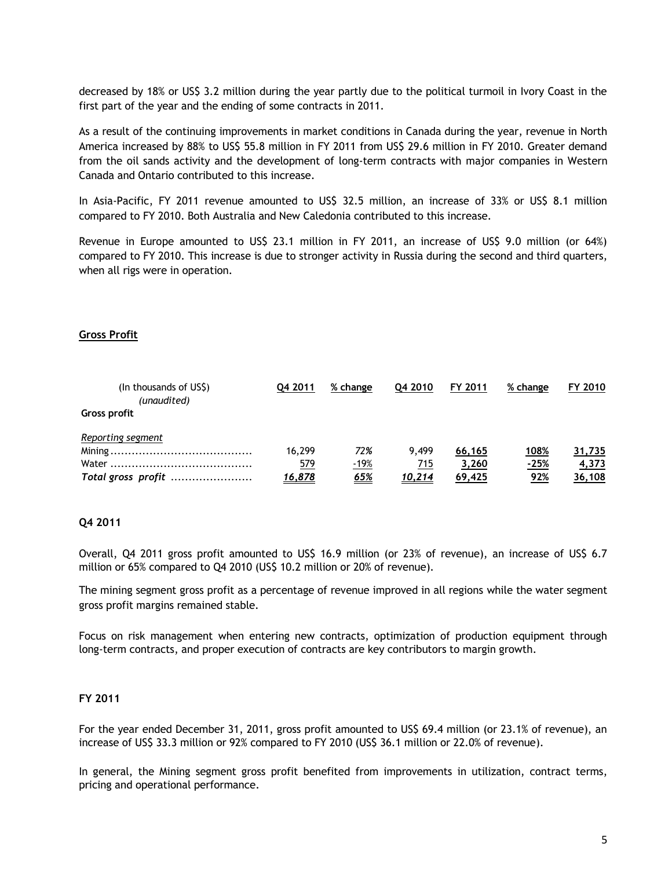decreased by 18% or US\$ 3.2 million during the year partly due to the political turmoil in Ivory Coast in the first part of the year and the ending of some contracts in 2011.

As a result of the continuing improvements in market conditions in Canada during the year, revenue in North America increased by 88% to US\$ 55.8 million in FY 2011 from US\$ 29.6 million in FY 2010. Greater demand from the oil sands activity and the development of long-term contracts with major companies in Western Canada and Ontario contributed to this increase.

In Asia-Pacific, FY 2011 revenue amounted to US\$ 32.5 million, an increase of 33% or US\$ 8.1 million compared to FY 2010. Both Australia and New Caledonia contributed to this increase.

Revenue in Europe amounted to US\$ 23.1 million in FY 2011, an increase of US\$ 9.0 million (or 64%) compared to FY 2010. This increase is due to stronger activity in Russia during the second and third quarters, when all rigs were in operation.

# **Gross Profit**

| (In thousands of US\$)<br>(unaudited) | Q4 2011       | % change    | 04 2010       | FY 2011 | % change | FY 2010 |
|---------------------------------------|---------------|-------------|---------------|---------|----------|---------|
| <b>Gross profit</b>                   |               |             |               |         |          |         |
| Reporting segment                     |               |             |               |         |          |         |
|                                       | 16.299        | 72%         | 9.499         | 66,165  | 108%     | 31,735  |
|                                       | <u>579</u>    | <u>-19%</u> | 715           | 3,260   | $-25%$   | 4,373   |
|                                       | <u>16,878</u> | <u>65%</u>  | <u>10,214</u> | 69,425  | 92%      | 36,108  |

#### **Q4 2011**

Overall, Q4 2011 gross profit amounted to US\$ 16.9 million (or 23% of revenue), an increase of US\$ 6.7 million or 65% compared to Q4 2010 (US\$ 10.2 million or 20% of revenue).

The mining segment gross profit as a percentage of revenue improved in all regions while the water segment gross profit margins remained stable.

Focus on risk management when entering new contracts, optimization of production equipment through long-term contracts, and proper execution of contracts are key contributors to margin growth.

#### **FY 2011**

For the year ended December 31, 2011, gross profit amounted to US\$ 69.4 million (or 23.1% of revenue), an increase of US\$ 33.3 million or 92% compared to FY 2010 (US\$ 36.1 million or 22.0% of revenue).

In general, the Mining segment gross profit benefited from improvements in utilization, contract terms, pricing and operational performance.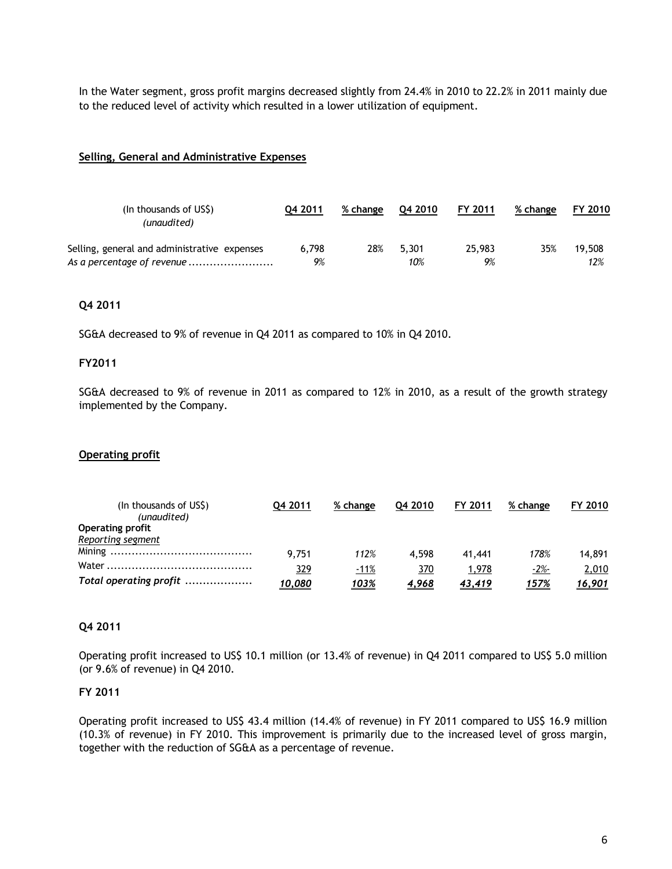In the Water segment, gross profit margins decreased slightly from 24.4% in 2010 to 22.2% in 2011 mainly due to the reduced level of activity which resulted in a lower utilization of equipment.

# **Selling, General and Administrative Expenses**

| (In thousands of US\$)<br>(unaudited)        | 04 2011 | % change | 04 2010 | FY 2011 | % change | FY 2010 |
|----------------------------------------------|---------|----------|---------|---------|----------|---------|
| Selling, general and administrative expenses | 6.798   | 28%      | 5.301   | 25,983  | 35%      | 19.508  |
| As a percentage of revenue                   | 9%      |          | 10%     | 9%      |          | 12%     |

# **Q4 2011**

SG&A decreased to 9% of revenue in Q4 2011 as compared to 10% in Q4 2010.

#### **FY2011**

SG&A decreased to 9% of revenue in 2011 as compared to 12% in 2010, as a result of the growth strategy implemented by the Company.

#### **Operating profit**

| (In thousands of US\$)<br>(unaudited) | 04 2011 | % change    | 04 2010      | FY 2011       | % change | FY 2010 |
|---------------------------------------|---------|-------------|--------------|---------------|----------|---------|
| <b>Operating profit</b>               |         |             |              |               |          |         |
| Reporting segment                     |         |             |              |               |          |         |
|                                       | 9.751   | 112%        | 4.598        | 41,441        | 178%     | 14.891  |
| Water                                 | 329     | <u>-11%</u> | 370          | 1,978         | $-2%$    | 2,010   |
| Total operating profit                | 10,080  | 103%        | <u>4,968</u> | <u>43,419</u> | 157%     | 16,901  |

#### **Q4 2011**

Operating profit increased to US\$ 10.1 million (or 13.4% of revenue) in Q4 2011 compared to US\$ 5.0 million (or 9.6% of revenue) in Q4 2010.

#### **FY 2011**

Operating profit increased to US\$ 43.4 million (14.4% of revenue) in FY 2011 compared to US\$ 16.9 million (10.3% of revenue) in FY 2010. This improvement is primarily due to the increased level of gross margin, together with the reduction of SG&A as a percentage of revenue.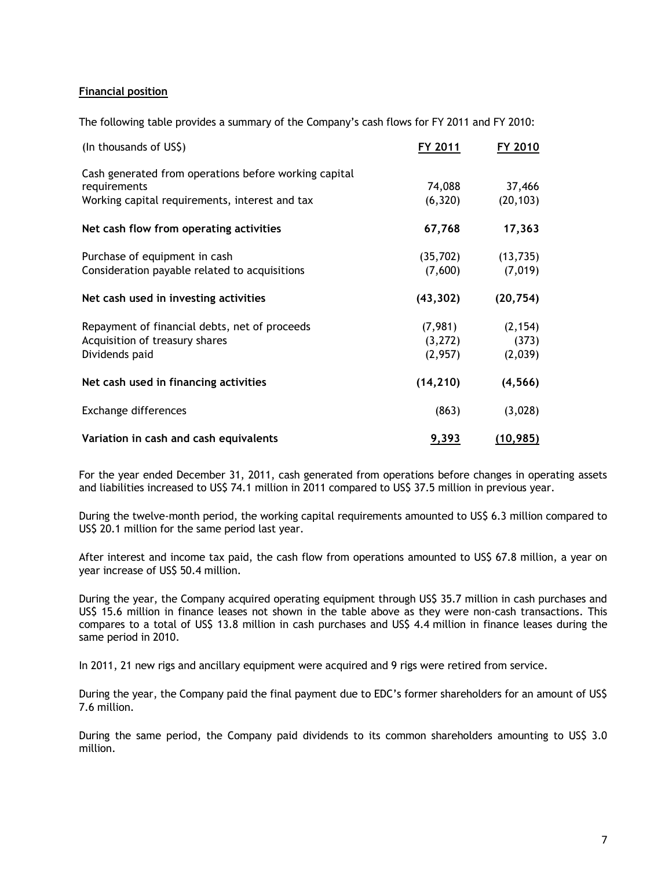# **Financial position**

The following table provides a summary of the Company's cash flows for FY 2011 and FY 2010:

| (In thousands of US\$)                                | FY 2011   | FY 2010   |
|-------------------------------------------------------|-----------|-----------|
| Cash generated from operations before working capital |           |           |
| requirements                                          | 74,088    | 37,466    |
| Working capital requirements, interest and tax        | (6,320)   | (20, 103) |
| Net cash flow from operating activities               | 67,768    | 17,363    |
| Purchase of equipment in cash                         | (35, 702) | (13, 735) |
| Consideration payable related to acquisitions         | (7,600)   | (7,019)   |
| Net cash used in investing activities                 | (43, 302) | (20, 754) |
| Repayment of financial debts, net of proceeds         | (7,981)   | (2, 154)  |
| Acquisition of treasury shares                        | (3,272)   | (373)     |
| Dividends paid                                        | (2,957)   | (2,039)   |
| Net cash used in financing activities                 | (14, 210) | (4, 566)  |
| Exchange differences                                  | (863)     | (3,028)   |
| Variation in cash and cash equivalents                | 9,393     | (10, 985) |

For the year ended December 31, 2011, cash generated from operations before changes in operating assets and liabilities increased to US\$ 74.1 million in 2011 compared to US\$ 37.5 million in previous year.

During the twelve-month period, the working capital requirements amounted to US\$ 6.3 million compared to US\$ 20.1 million for the same period last year.

After interest and income tax paid, the cash flow from operations amounted to US\$ 67.8 million, a year on year increase of US\$ 50.4 million.

During the year, the Company acquired operating equipment through US\$ 35.7 million in cash purchases and US\$ 15.6 million in finance leases not shown in the table above as they were non-cash transactions. This compares to a total of US\$ 13.8 million in cash purchases and US\$ 4.4 million in finance leases during the same period in 2010.

In 2011, 21 new rigs and ancillary equipment were acquired and 9 rigs were retired from service.

During the year, the Company paid the final payment due to EDC's former shareholders for an amount of US\$ 7.6 million.

During the same period, the Company paid dividends to its common shareholders amounting to US\$ 3.0 million.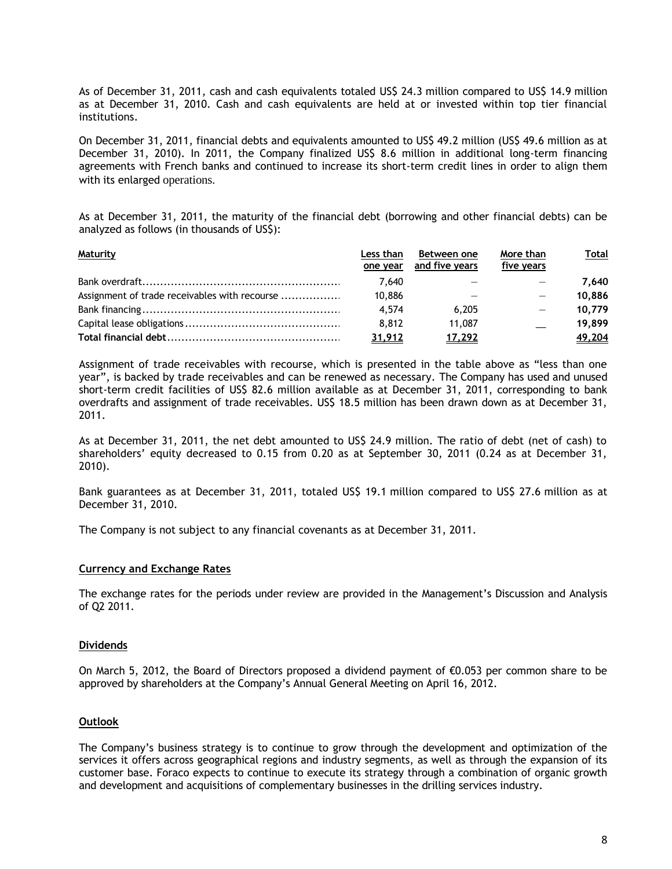As of December 31, 2011, cash and cash equivalents totaled US\$ 24.3 million compared to US\$ 14.9 million as at December 31, 2010. Cash and cash equivalents are held at or invested within top tier financial institutions.

On December 31, 2011, financial debts and equivalents amounted to US\$ 49.2 million (US\$ 49.6 million as at December 31, 2010). In 2011, the Company finalized US\$ 8.6 million in additional long-term financing agreements with French banks and continued to increase its short-term credit lines in order to align them with its enlarged operations.

As at December 31, 2011, the maturity of the financial debt (borrowing and other financial debts) can be analyzed as follows (in thousands of US\$):

| <b>Maturity</b>                               | Less than<br>one year | Between one<br>and five years | More than<br>five years | <u>Total</u> |
|-----------------------------------------------|-----------------------|-------------------------------|-------------------------|--------------|
|                                               | 7.640                 |                               |                         | 7.640        |
| Assignment of trade receivables with recourse | 10,886                |                               |                         | 10.886       |
|                                               | 4.574                 | 6.205                         |                         | 10.779       |
|                                               | 8.812                 | 11.087                        |                         | 19.899       |
|                                               | 31,912                | 17,292                        |                         | 49,204       |

Assignment of trade receivables with recourse, which is presented in the table above as "less than one year", is backed by trade receivables and can be renewed as necessary. The Company has used and unused short-term credit facilities of US\$ 82.6 million available as at December 31, 2011, corresponding to bank overdrafts and assignment of trade receivables. US\$ 18.5 million has been drawn down as at December 31, 2011.

As at December 31, 2011, the net debt amounted to US\$ 24.9 million. The ratio of debt (net of cash) to shareholders' equity decreased to 0.15 from 0.20 as at September 30, 2011 (0.24 as at December 31, 2010).

Bank guarantees as at December 31, 2011, totaled US\$ 19.1 million compared to US\$ 27.6 million as at December 31, 2010.

The Company is not subject to any financial covenants as at December 31, 2011.

#### **Currency and Exchange Rates**

The exchange rates for the periods under review are provided in the Management's Discussion and Analysis of Q2 2011.

#### **Dividends**

On March 5, 2012, the Board of Directors proposed a dividend payment of €0.053 per common share to be approved by shareholders at the Company's Annual General Meeting on April 16, 2012.

#### **Outlook**

The Company's business strategy is to continue to grow through the development and optimization of the services it offers across geographical regions and industry segments, as well as through the expansion of its customer base. Foraco expects to continue to execute its strategy through a combination of organic growth and development and acquisitions of complementary businesses in the drilling services industry.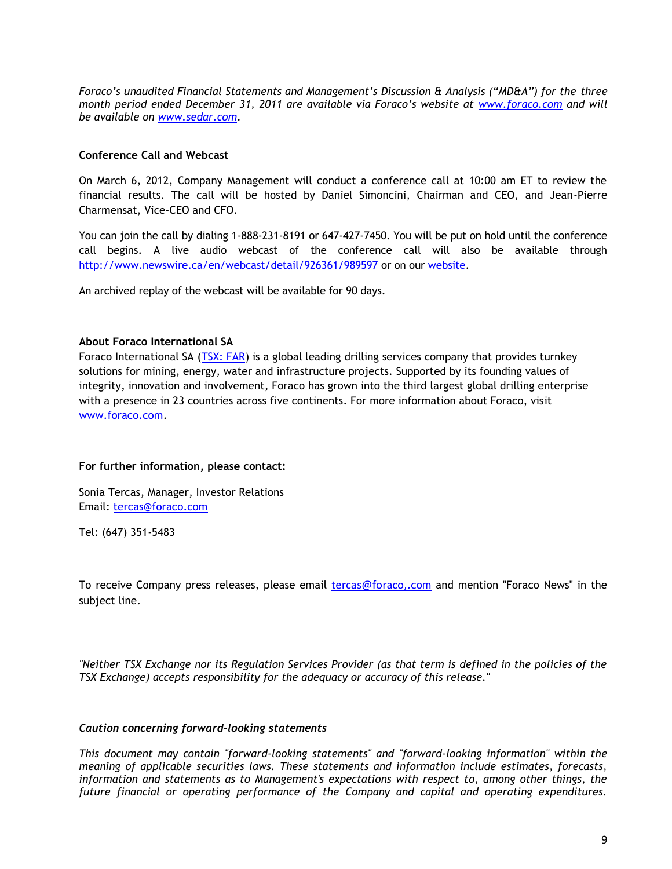*Foraco's unaudited Financial Statements and Management's Discussion & Analysis ("MD&A") for the three month period ended December 31, 2011 are available via Foraco's website at [www.foraco.com](http://www.foraco.com/) and will be available on [www.sedar.com.](http://www.sedar.com/)* 

# **Conference Call and Webcast**

On March 6, 2012, Company Management will conduct a conference call at 10:00 am ET to review the financial results. The call will be hosted by Daniel Simoncini, Chairman and CEO, and Jean-Pierre Charmensat, Vice-CEO and CFO.

You can join the call by dialing 1-888-231-8191 or 647-427-7450. You will be put on hold until the conference call begins. A live audio webcast of the conference call will also be available through <http://www.newswire.ca/en/webcast/detail/926361/989597> or on our [website.](http://www.foraco.com/index.php/investors/events-a-earnings-calendar)

An archived replay of the webcast will be available for 90 days.

# **About Foraco International SA**

Foraco International SA [\(TSX: FAR\)](http://tmx.quotemedia.com/quote.php?qm_symbol=FAR&locale=EN) is a global leading drilling services company that provides turnkey solutions for mining, energy, water and infrastructure projects. Supported by its founding values of integrity, innovation and involvement, Foraco has grown into the third largest global drilling enterprise with a presence in 23 countries across five continents. For more information about Foraco, visit [www.foraco.com.](http://www.foraco.com/)

# **For further information, please contact:**

Sonia Tercas, Manager, Investor Relations Email: [tercas@foraco.com](mailto:tercas@foraco.com)

Tel: (647) 351-5483

To receive Company press releases, please email [tercas@foraco,](mailto:tercas@foraco,.com).com and mention "Foraco News" in the subject line.

*"Neither TSX Exchange nor its Regulation Services Provider (as that term is defined in the policies of the TSX Exchange) accepts responsibility for the adequacy or accuracy of this release."*

# *Caution concerning forward-looking statements*

*This document may contain "forward-looking statements" and "forward-looking information" within the meaning of applicable securities laws. These statements and information include estimates, forecasts, information and statements as to Management's expectations with respect to, among other things, the future financial or operating performance of the Company and capital and operating expenditures.*